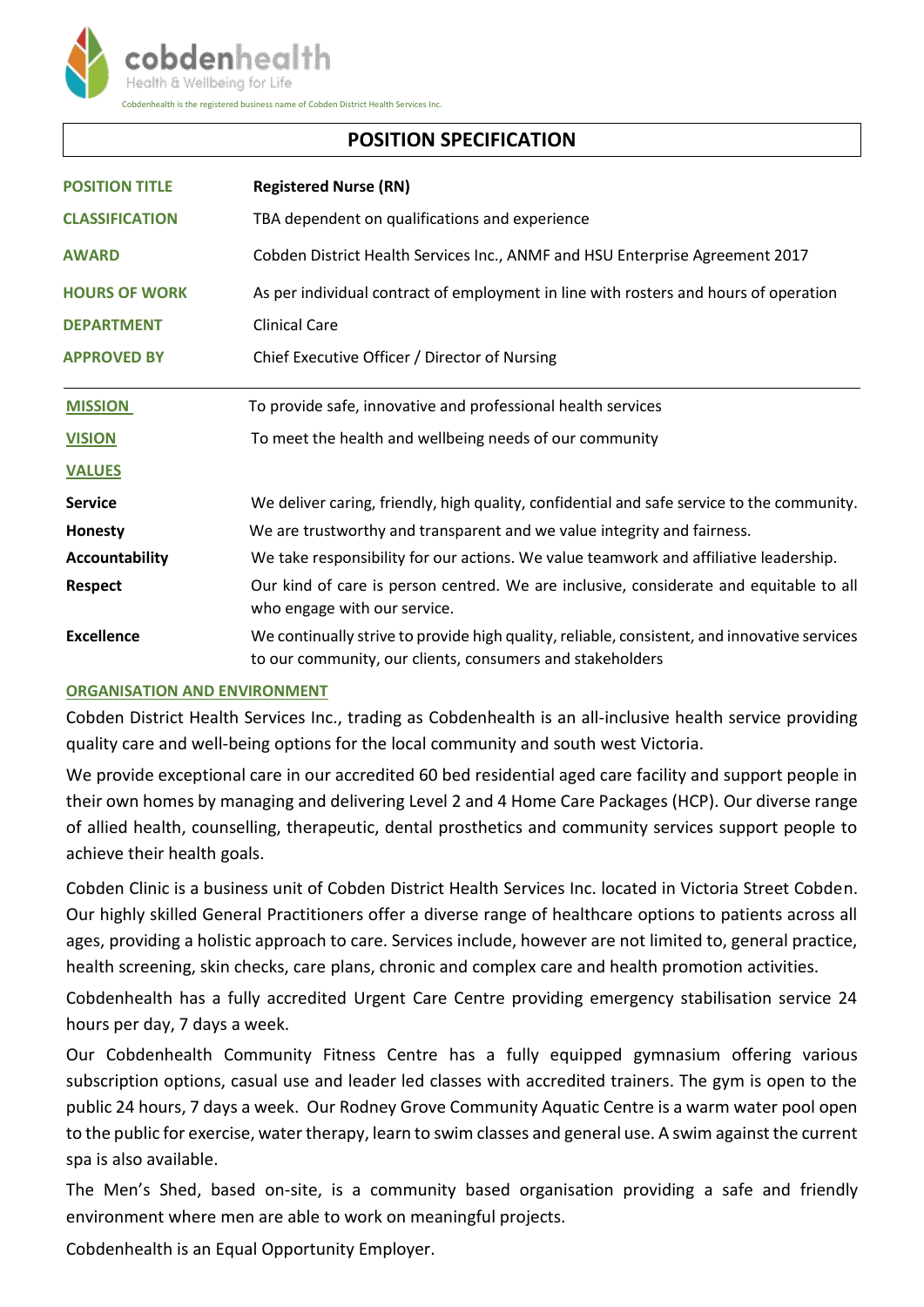

# **POSITION SPECIFICATION**

| <b>POSITION TITLE</b> | <b>Registered Nurse (RN)</b>                                                                                                                              |
|-----------------------|-----------------------------------------------------------------------------------------------------------------------------------------------------------|
| <b>CLASSIFICATION</b> | TBA dependent on qualifications and experience                                                                                                            |
| <b>AWARD</b>          | Cobden District Health Services Inc., ANMF and HSU Enterprise Agreement 2017                                                                              |
| <b>HOURS OF WORK</b>  | As per individual contract of employment in line with rosters and hours of operation                                                                      |
| <b>DEPARTMENT</b>     | <b>Clinical Care</b>                                                                                                                                      |
| <b>APPROVED BY</b>    | Chief Executive Officer / Director of Nursing                                                                                                             |
| <b>MISSION</b>        | To provide safe, innovative and professional health services                                                                                              |
| <b>VISION</b>         | To meet the health and wellbeing needs of our community                                                                                                   |
| <b>VALUES</b>         |                                                                                                                                                           |
| <b>Service</b>        | We deliver caring, friendly, high quality, confidential and safe service to the community.                                                                |
| Honesty               | We are trustworthy and transparent and we value integrity and fairness.                                                                                   |
| Accountability        | We take responsibility for our actions. We value teamwork and affiliative leadership.                                                                     |
| <b>Respect</b>        | Our kind of care is person centred. We are inclusive, considerate and equitable to all<br>who engage with our service.                                    |
| <b>Excellence</b>     | We continually strive to provide high quality, reliable, consistent, and innovative services<br>to our community, our clients, consumers and stakeholders |

## **ORGANISATION AND ENVIRONMENT**

Cobden District Health Services Inc., trading as Cobdenhealth is an all-inclusive health service providing quality care and well-being options for the local community and south west Victoria.

We provide exceptional care in our accredited 60 bed residential aged care facility and support people in their own homes by managing and delivering Level 2 and 4 Home Care Packages (HCP). Our diverse range of allied health, counselling, therapeutic, dental prosthetics and community services support people to achieve their health goals.

Cobden Clinic is a business unit of Cobden District Health Services Inc. located in Victoria Street Cobden. Our highly skilled General Practitioners offer a diverse range of healthcare options to patients across all ages, providing a holistic approach to care. Services include, however are not limited to, general practice, health screening, skin checks, care plans, chronic and complex care and health promotion activities.

Cobdenhealth has a fully accredited Urgent Care Centre providing emergency stabilisation service 24 hours per day, 7 days a week.

Our Cobdenhealth Community Fitness Centre has a fully equipped gymnasium offering various subscription options, casual use and leader led classes with accredited trainers. The gym is open to the public 24 hours, 7 days a week. Our Rodney Grove Community Aquatic Centre is a warm water pool open to the public for exercise, water therapy, learn to swim classes and general use. A swim against the current spa is also available.

The Men's Shed, based on-site, is a community based organisation providing a safe and friendly environment where men are able to work on meaningful projects.

Cobdenhealth is an Equal Opportunity Employer.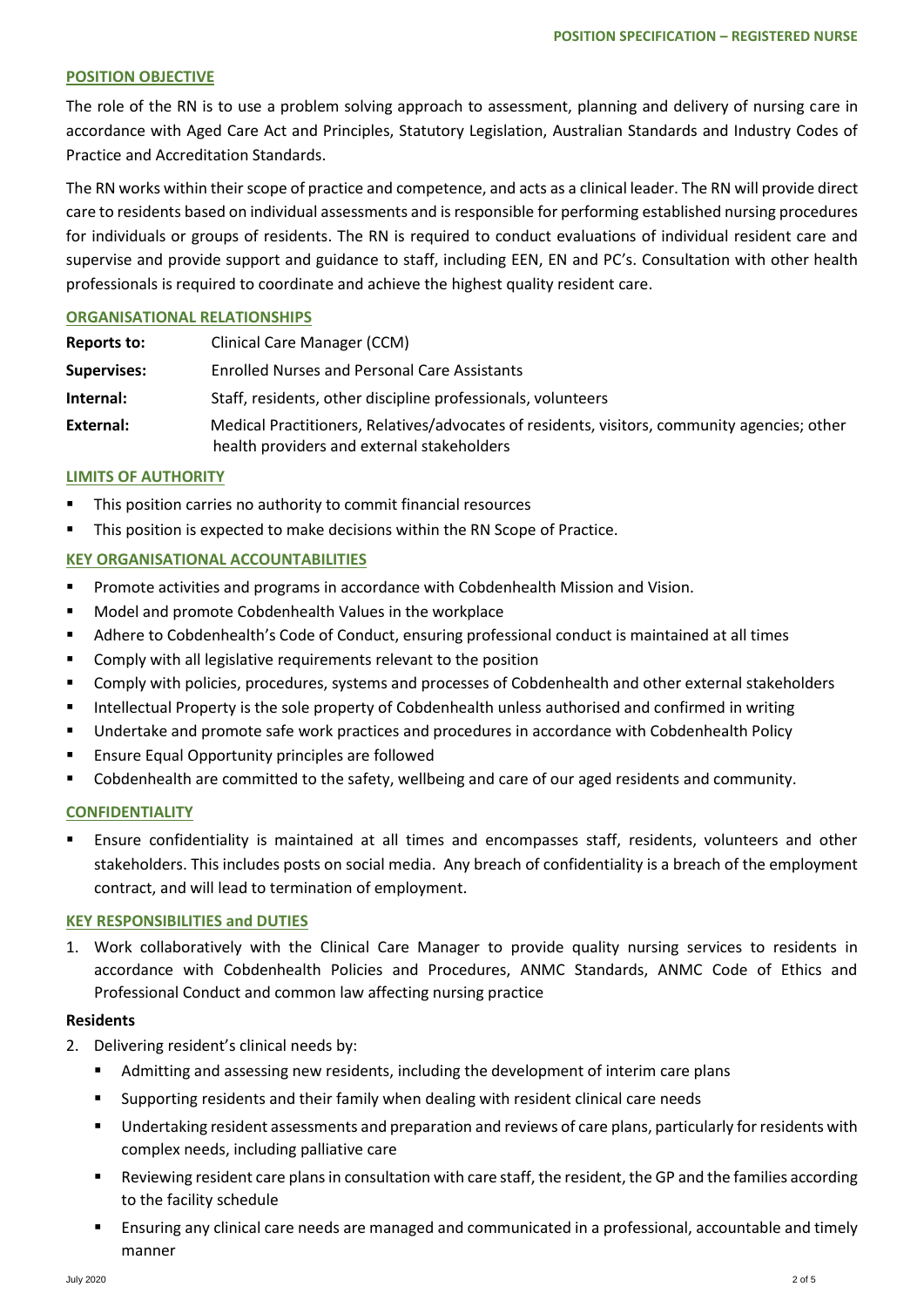### **POSITION OBJECTIVE**

The role of the RN is to use a problem solving approach to assessment, planning and delivery of nursing care in accordance with Aged Care Act and Principles, Statutory Legislation, Australian Standards and Industry Codes of Practice and Accreditation Standards.

The RN works within their scope of practice and competence, and acts as a clinical leader. The RN will provide direct care to residents based on individual assessments and is responsible for performing established nursing procedures for individuals or groups of residents. The RN is required to conduct evaluations of individual resident care and supervise and provide support and guidance to staff, including EEN, EN and PC's. Consultation with other health professionals is required to coordinate and achieve the highest quality resident care.

### **ORGANISATIONAL RELATIONSHIPS**

| Reports to:        | <b>Clinical Care Manager (CCM)</b>                                                                                                         |  |
|--------------------|--------------------------------------------------------------------------------------------------------------------------------------------|--|
| <b>Supervises:</b> | <b>Enrolled Nurses and Personal Care Assistants</b>                                                                                        |  |
| Internal:          | Staff, residents, other discipline professionals, volunteers                                                                               |  |
| External:          | Medical Practitioners, Relatives/advocates of residents, visitors, community agencies; other<br>health providers and external stakeholders |  |

#### **LIMITS OF AUTHORITY**

- This position carries no authority to commit financial resources
- This position is expected to make decisions within the RN Scope of Practice.

### **KEY ORGANISATIONAL ACCOUNTABILITIES**

- **Promote activities and programs in accordance with Cobdenhealth Mission and Vision.**
- **Model and promote Cobdenhealth Values in the workplace**
- Adhere to Cobdenhealth's Code of Conduct, ensuring professional conduct is maintained at all times
- Comply with all legislative requirements relevant to the position
- Comply with policies, procedures, systems and processes of Cobdenhealth and other external stakeholders
- Intellectual Property is the sole property of Cobdenhealth unless authorised and confirmed in writing
- Undertake and promote safe work practices and procedures in accordance with Cobdenhealth Policy
- **Ensure Equal Opportunity principles are followed**
- Cobdenhealth are committed to the safety, wellbeing and care of our aged residents and community.

### **CONFIDENTIALITY**

 Ensure confidentiality is maintained at all times and encompasses staff, residents, volunteers and other stakeholders. This includes posts on social media. Any breach of confidentiality is a breach of the employment contract, and will lead to termination of employment.

#### **KEY RESPONSIBILITIES and DUTIES**

1. Work collaboratively with the Clinical Care Manager to provide quality nursing services to residents in accordance with Cobdenhealth Policies and Procedures, ANMC Standards, ANMC Code of Ethics and Professional Conduct and common law affecting nursing practice

#### **Residents**

- 2. Delivering resident's clinical needs by:
	- Admitting and assessing new residents, including the development of interim care plans
	- Supporting residents and their family when dealing with resident clinical care needs
	- Undertaking resident assessments and preparation and reviews of care plans, particularly for residents with complex needs, including palliative care
	- Reviewing resident care plans in consultation with care staff, the resident, the GP and the families according to the facility schedule
	- Ensuring any clinical care needs are managed and communicated in a professional, accountable and timely manner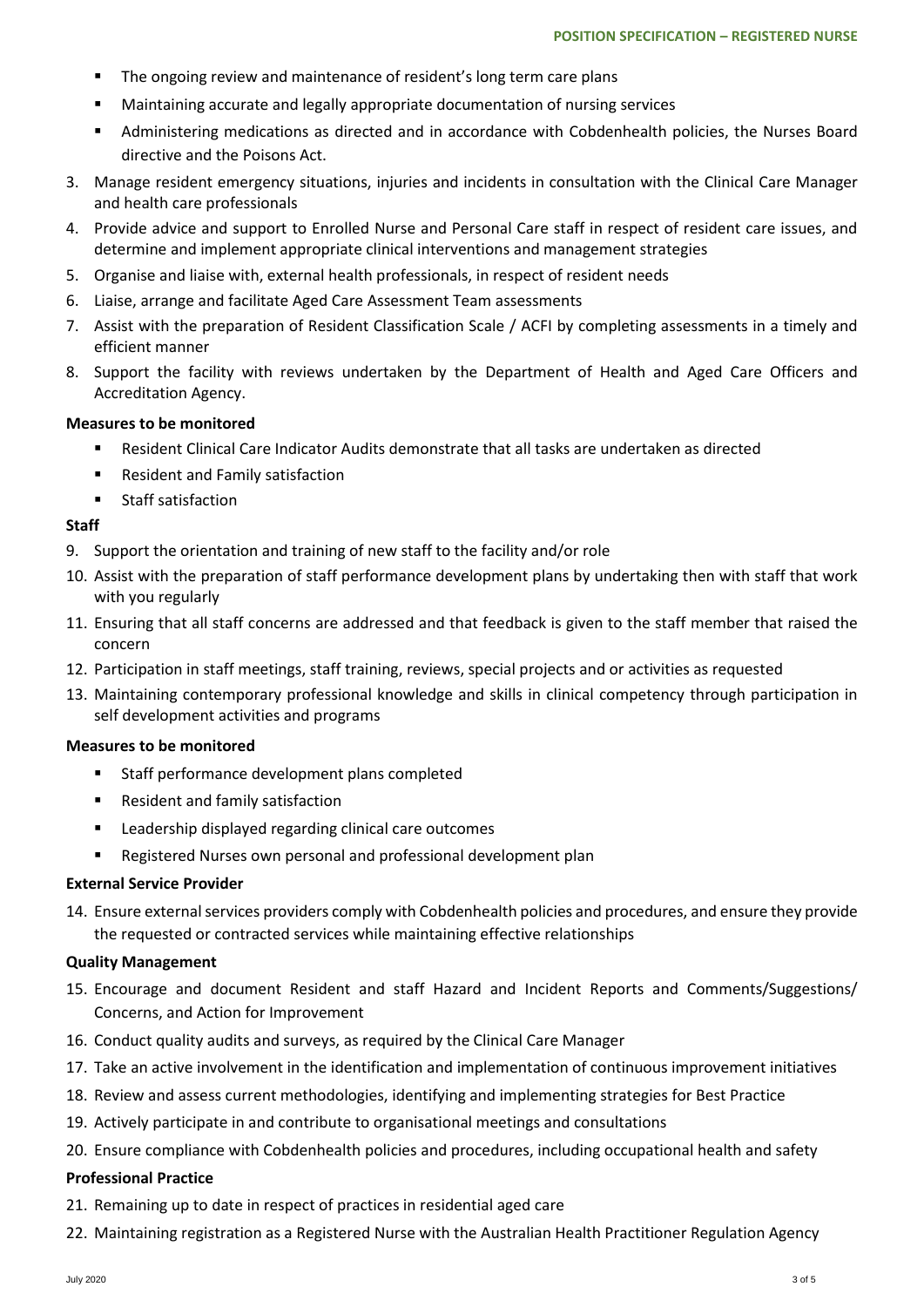- **The ongoing review and maintenance of resident's long term care plans**
- Maintaining accurate and legally appropriate documentation of nursing services
- Administering medications as directed and in accordance with Cobdenhealth policies, the Nurses Board directive and the Poisons Act.
- 3. Manage resident emergency situations, injuries and incidents in consultation with the Clinical Care Manager and health care professionals
- 4. Provide advice and support to Enrolled Nurse and Personal Care staff in respect of resident care issues, and determine and implement appropriate clinical interventions and management strategies
- 5. Organise and liaise with, external health professionals, in respect of resident needs
- 6. Liaise, arrange and facilitate Aged Care Assessment Team assessments
- 7. Assist with the preparation of Resident Classification Scale / ACFI by completing assessments in a timely and efficient manner
- 8. Support the facility with reviews undertaken by the Department of Health and Aged Care Officers and Accreditation Agency.

#### **Measures to be monitored**

- Resident Clinical Care Indicator Audits demonstrate that all tasks are undertaken as directed
- Resident and Family satisfaction
- **Staff satisfaction**

### **Staff**

- 9. Support the orientation and training of new staff to the facility and/or role
- 10. Assist with the preparation of staff performance development plans by undertaking then with staff that work with you regularly
- 11. Ensuring that all staff concerns are addressed and that feedback is given to the staff member that raised the concern
- 12. Participation in staff meetings, staff training, reviews, special projects and or activities as requested
- 13. Maintaining contemporary professional knowledge and skills in clinical competency through participation in self development activities and programs

#### **Measures to be monitored**

- Staff performance development plans completed
- Resident and family satisfaction
- Leadership displayed regarding clinical care outcomes
- Registered Nurses own personal and professional development plan

#### **External Service Provider**

14. Ensure external services providers comply with Cobdenhealth policies and procedures, and ensure they provide the requested or contracted services while maintaining effective relationships

#### **Quality Management**

- 15. Encourage and document Resident and staff Hazard and Incident Reports and Comments/Suggestions/ Concerns, and Action for Improvement
- 16. Conduct quality audits and surveys, as required by the Clinical Care Manager
- 17. Take an active involvement in the identification and implementation of continuous improvement initiatives
- 18. Review and assess current methodologies, identifying and implementing strategies for Best Practice
- 19. Actively participate in and contribute to organisational meetings and consultations
- 20. Ensure compliance with Cobdenhealth policies and procedures, including occupational health and safety

#### **Professional Practice**

- 21. Remaining up to date in respect of practices in residential aged care
- 22. Maintaining registration as a Registered Nurse with the Australian Health Practitioner Regulation Agency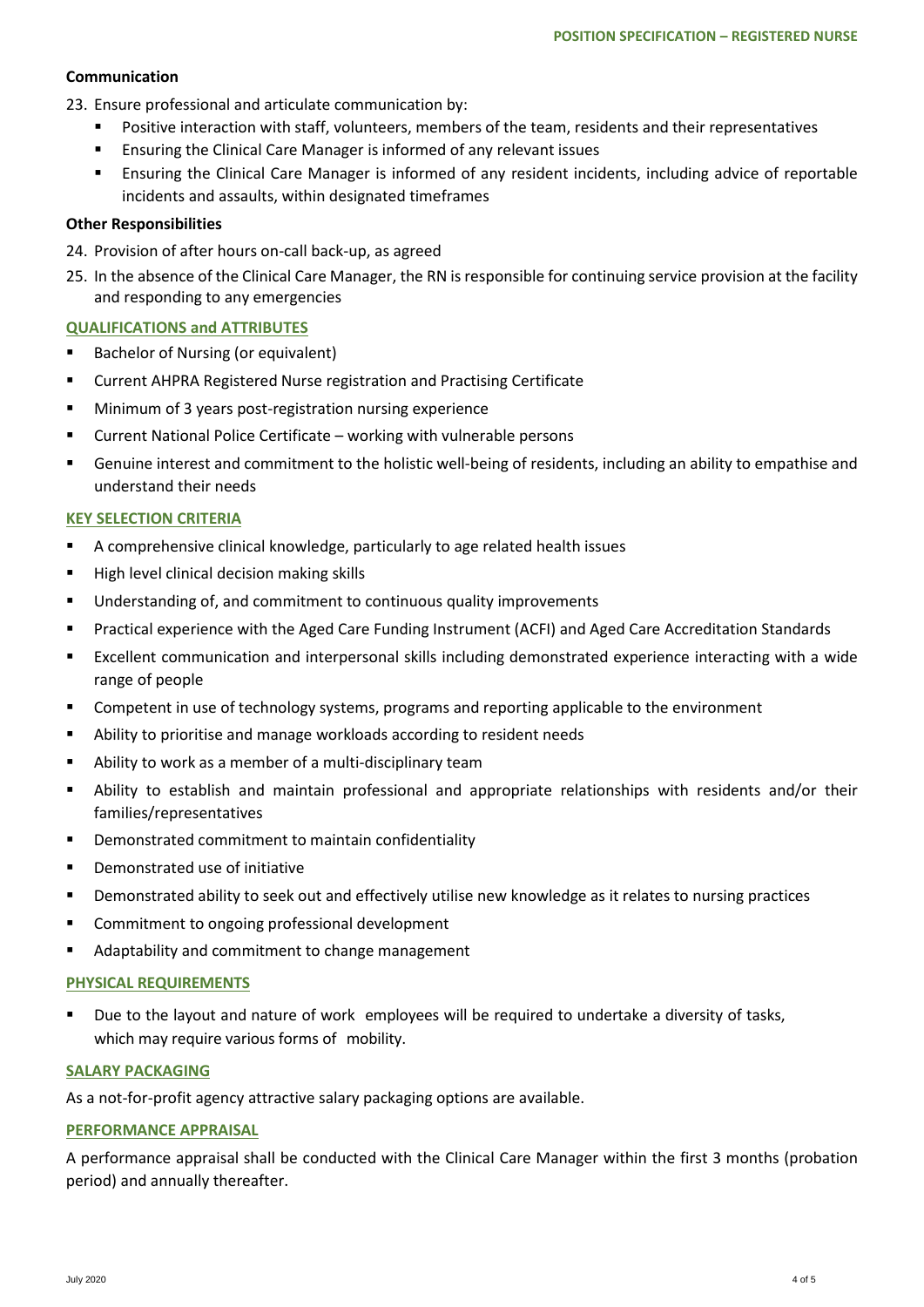# **Communication**

- 23. Ensure professional and articulate communication by:
	- Positive interaction with staff, volunteers, members of the team, residents and their representatives
	- **Ensuring the Clinical Care Manager is informed of any relevant issues**
	- Ensuring the Clinical Care Manager is informed of any resident incidents, including advice of reportable incidents and assaults, within designated timeframes

# **Other Responsibilities**

- 24. Provision of after hours on-call back-up, as agreed
- 25. In the absence of the Clinical Care Manager, the RN is responsible for continuing service provision at the facility and responding to any emergencies

# **QUALIFICATIONS and ATTRIBUTES**

- Bachelor of Nursing (or equivalent)
- **E** Current AHPRA Registered Nurse registration and Practising Certificate
- **Minimum of 3 years post-registration nursing experience**
- Current National Police Certificate working with vulnerable persons
- Genuine interest and commitment to the holistic well-being of residents, including an ability to empathise and understand their needs

# **KEY SELECTION CRITERIA**

- A comprehensive clinical knowledge, particularly to age related health issues
- $H$  High level clinical decision making skills
- **Understanding of, and commitment to continuous quality improvements**
- **Practical experience with the Aged Care Funding Instrument (ACFI) and Aged Care Accreditation Standards**
- Excellent communication and interpersonal skills including demonstrated experience interacting with a wide range of people
- Competent in use of technology systems, programs and reporting applicable to the environment
- Ability to prioritise and manage workloads according to resident needs
- Ability to work as a member of a multi-disciplinary team
- Ability to establish and maintain professional and appropriate relationships with residents and/or their families/representatives
- Demonstrated commitment to maintain confidentiality
- Demonstrated use of initiative
- Demonstrated ability to seek out and effectively utilise new knowledge as it relates to nursing practices
- **EXECOMMITMENT TO ONGOUT A COMMITMENT** Commitment to ongoing professional development
- Adaptability and commitment to change management

## **PHYSICAL REQUIREMENTS**

 Due to the layout and nature of work employees will be required to undertake a diversity of tasks, which may require various forms of mobility.

## **SALARY PACKAGING**

As a not-for-profit agency attractive salary packaging options are available.

## **PERFORMANCE APPRAISAL**

A performance appraisal shall be conducted with the Clinical Care Manager within the first 3 months (probation period) and annually thereafter.